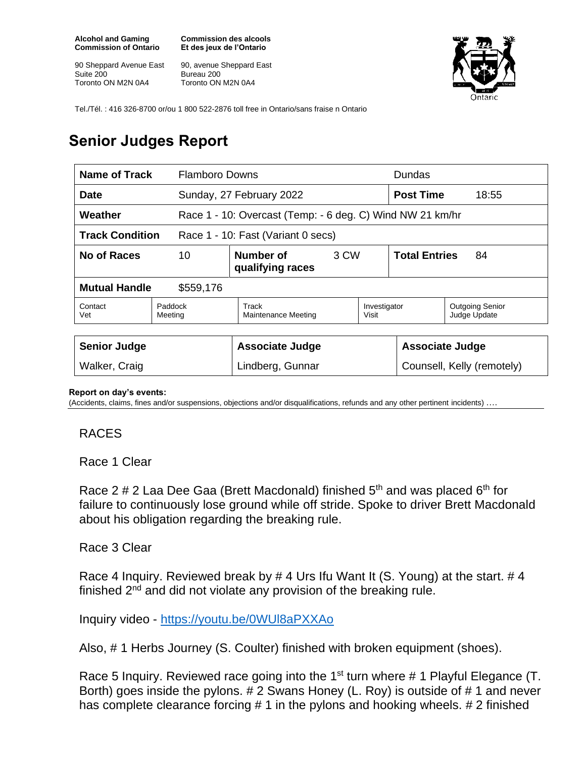**Alcohol and Gaming Commission of Ontario**

90 Sheppard Avenue East Suite 200 Toronto ON M2N 0A4

**Commission des alcools Et des jeux de l'Ontario**

90, avenue Sheppard East Bureau 200 Toronto ON M2N 0A4



Tel./Tél. : 416 326-8700 or/ou 1 800 522-2876 toll free in Ontario/sans fraise n Ontario

## **Senior Judges Report**

| Name of Track<br><b>Flamboro Downs</b>                       |                    |                                                           |       |                            | <b>Dundas</b>              |                                        |
|--------------------------------------------------------------|--------------------|-----------------------------------------------------------|-------|----------------------------|----------------------------|----------------------------------------|
| Date                                                         |                    | Sunday, 27 February 2022                                  |       |                            | <b>Post Time</b><br>18:55  |                                        |
| Weather                                                      |                    | Race 1 - 10: Overcast (Temp: - 6 deg. C) Wind NW 21 km/hr |       |                            |                            |                                        |
| <b>Track Condition</b><br>Race 1 - 10: Fast (Variant 0 secs) |                    |                                                           |       |                            |                            |                                        |
| No of Races                                                  | 10                 | Number of<br>qualifying races                             | 3 CW  |                            | <b>Total Entries</b><br>84 |                                        |
| <b>Mutual Handle</b><br>\$559,176                            |                    |                                                           |       |                            |                            |                                        |
| Contact<br>Vet                                               | Paddock<br>Meeting | Track<br>Maintenance Meeting                              | Visit |                            | Investigator               | <b>Outgoing Senior</b><br>Judge Update |
|                                                              |                    |                                                           |       |                            |                            |                                        |
| <b>Senior Judge</b>                                          |                    | <b>Associate Judge</b>                                    |       | <b>Associate Judge</b>     |                            |                                        |
| Walker, Craig                                                |                    | Lindberg, Gunnar                                          |       | Counsell, Kelly (remotely) |                            |                                        |

## **Report on day's events:**

(Accidents, claims, fines and/or suspensions, objections and/or disqualifications, refunds and any other pertinent incidents) ….

## RACES

Race 1 Clear

Race 2  $\#$  2 Laa Dee Gaa (Brett Macdonald) finished 5<sup>th</sup> and was placed 6<sup>th</sup> for failure to continuously lose ground while off stride. Spoke to driver Brett Macdonald about his obligation regarding the breaking rule.

## Race 3 Clear

Race 4 Inquiry. Reviewed break by # 4 Urs Ifu Want It (S. Young) at the start. # 4 finished  $2<sup>nd</sup>$  and did not violate any provision of the breaking rule.

Inquiry video - <https://youtu.be/0WUl8aPXXAo>

Also, # 1 Herbs Journey (S. Coulter) finished with broken equipment (shoes).

Race 5 Inquiry. Reviewed race going into the 1<sup>st</sup> turn where # 1 Playful Elegance (T. Borth) goes inside the pylons. # 2 Swans Honey (L. Roy) is outside of # 1 and never has complete clearance forcing # 1 in the pylons and hooking wheels. # 2 finished